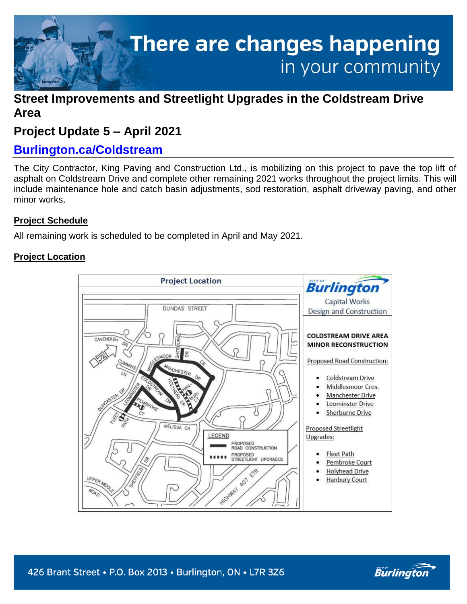

# **Street Improvements and Streetlight Upgrades in the Coldstream Drive Area**

# **Project Update 5 – April 2021**

# **Burlington.ca/Coldstream**

The City Contractor, King Paving and Construction Ltd., is mobilizing on this project to pave the top lift of asphalt on Coldstream Drive and complete other remaining 2021 works throughout the project limits. This will include maintenance hole and catch basin adjustments, sod restoration, asphalt driveway paving, and other minor works.

# **Project Schedule**

All remaining work is scheduled to be completed in April and May 2021.

## **Project Location**